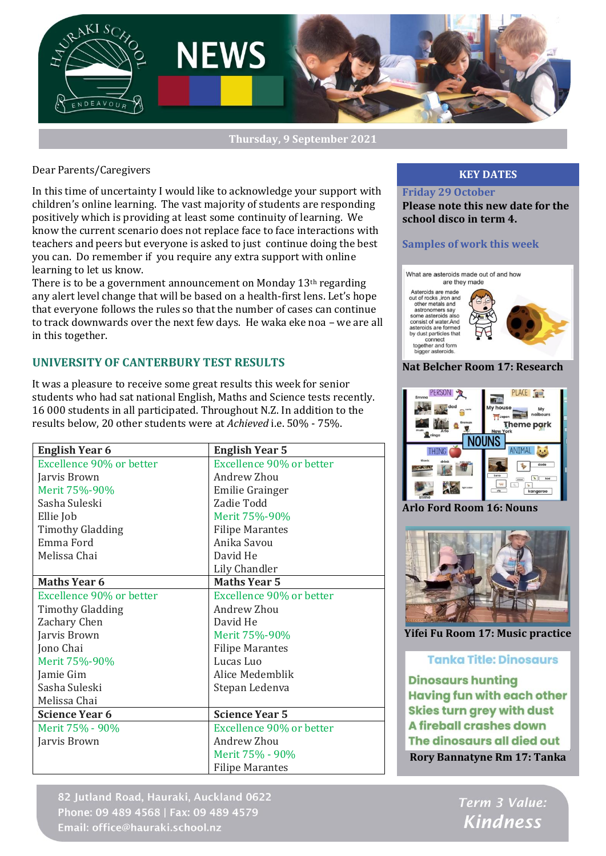

#### **Thursday, 9 September 2021**

#### Dear Parents/Caregivers

In this time of uncertainty I would like to acknowledge your support with children's online learning. The vast majority of students are responding positively which is providing at least some continuity of learning. We know the current scenario does not replace face to face interactions with teachers and peers but everyone is asked to just continue doing the best you can. Do remember if you require any extra support with online learning to let us know.

There is to be a government announcement on Monday 13th regarding any alert level change that will be based on a health-first lens. Let's hope that everyone follows the rules so that the number of cases can continue to track downwards over the next few days. He waka eke noa – we are all in this together.

### **UNIVERSITY OF CANTERBURY TEST RESULTS**

It was a pleasure to receive some great results this week for senior students who had sat national English, Maths and Science tests recently. 16 000 students in all participated. Throughout N.Z. In addition to the results below, 20 other students were at *Achieved* i.e. 50% - 75%.

| <b>English Year 6</b>    | <b>English Year 5</b>    |
|--------------------------|--------------------------|
| Excellence 90% or better | Excellence 90% or better |
| Jarvis Brown             | Andrew Zhou              |
| Merit 75%-90%            | Emilie Grainger          |
| Sasha Suleski            | Zadie Todd               |
| Ellie Job                | Merit 75%-90%            |
| <b>Timothy Gladding</b>  | <b>Filipe Marantes</b>   |
| Emma Ford                | Anika Savou              |
| Melissa Chai             | David He                 |
|                          | <b>Lily Chandler</b>     |
| <b>Maths Year 6</b>      | <b>Maths Year 5</b>      |
| Excellence 90% or better | Excellence 90% or better |
| <b>Timothy Gladding</b>  | Andrew Zhou              |
| Zachary Chen             | David He                 |
| Jarvis Brown             | Merit 75%-90%            |
| Jono Chai                | <b>Filipe Marantes</b>   |
| Merit 75%-90%            | Lucas Luo                |
| Jamie Gim                | Alice Medemblik          |
| Sasha Suleski            | Stepan Ledenva           |
| Melissa Chai             |                          |
| <b>Science Year 6</b>    | <b>Science Year 5</b>    |
| Merit 75% - 90%          | Excellence 90% or better |
| Jarvis Brown             | Andrew Zhou              |
|                          | Merit 75% - 90%          |
|                          | <b>Filipe Marantes</b>   |

82 Jutland Road, Hauraki, Auckland 0622 Phone: 09 489 4568 | Fax: 09 489 4579 Email: office@hauraki.school.nz

### **KEY DATES**

**Friday 29 October Please note this new date for the school disco in term 4.**

#### **Samples of work this week**





**Arlo Ford Room 16: Nouns**



**Yifei Fu Room 17: Music practice**

#### **Tanka Title: Dinosaurs**

**Dinosaurs hunting Having fun with each other Skies turn grey with dust A fireball crashes down** The dinosaurs all died out **Rory Bannatyne Rm 17: Tanka**

> Term 3 Value: **Kindness**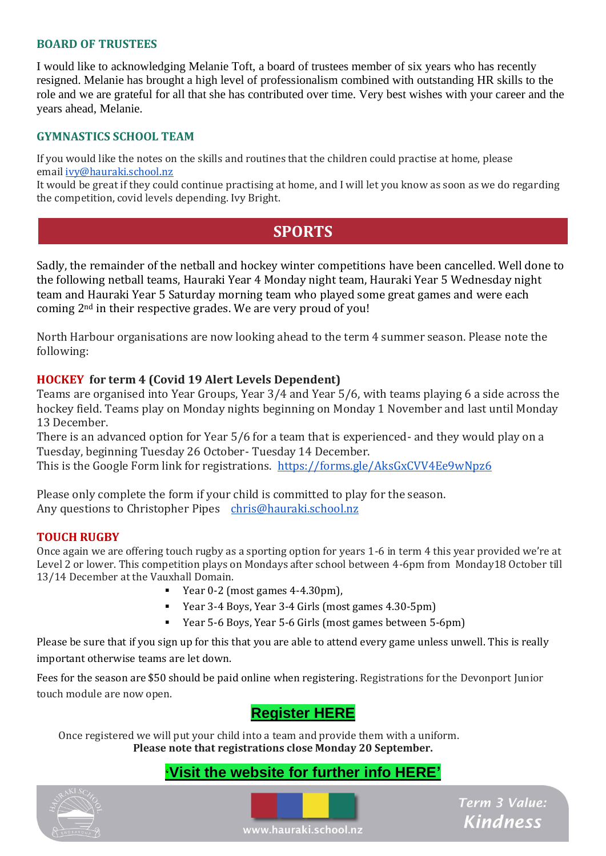## **BOARD OF TRUSTEES**

I would like to acknowledging Melanie Toft, a board of trustees member of six years who has recently resigned. Melanie has brought a high level of professionalism combined with outstanding HR skills to the role and we are grateful for all that she has contributed over time. Very best wishes with your career and the years ahead, Melanie.

## **GYMNASTICS SCHOOL TEAM**

If you would like the notes on the skills and routines that the children could practise at home, please email [ivy@hauraki.school.nz](mailto:ivy@hauraki.school.nz)

It would be great if they could continue practising at home, and I will let you know as soon as we do regarding the competition, covid levels depending. Ivy Bright.

# **SPORTS**

Sadly, the remainder of the netball and hockey winter competitions have been cancelled. Well done to the following netball teams, Hauraki Year 4 Monday night team, Hauraki Year 5 Wednesday night team and Hauraki Year 5 Saturday morning team who played some great games and were each coming 2nd in their respective grades. We are very proud of you!

North Harbour organisations are now looking ahead to the term 4 summer season. Please note the following:

## **HOCKEY for term 4 (Covid 19 Alert Levels Dependent)**

Teams are organised into Year Groups, Year 3/4 and Year 5/6, with teams playing 6 a side across the hockey field. Teams play on Monday nights beginning on Monday 1 November and last until Monday 13 December.

There is an advanced option for Year 5/6 for a team that is experienced- and they would play on a Tuesday, beginning Tuesday 26 October- Tuesday 14 December.

This is the Google Form link for registrations. <https://forms.gle/AksGxCVV4Ee9wNpz6>

Please only complete the form if your child is committed to play for the season. Any questions to Christopher Pipes [chris@hauraki.school.nz](mailto:chris@hauraki.school.nz)

## **TOUCH RUGBY**

Once again we are offering touch rugby as a sporting option for years 1-6 in term 4 this year provided we're at Level 2 or lower. This competition plays on Mondays after school between 4-6pm from Monday18 October till 13/14 December at the Vauxhall Domain.

- Year 0-2 (most games 4-4.30pm),
- Year 3-4 Boys, Year 3-4 Girls (most games 4.30-5pm)
- $\blacksquare$  . Year 5-6 Boys, Year 5-6 Girls (most games between 5-6pm)

Please be sure that if you sign up for this that you are able to attend every game unless unwell. This is really important otherwise teams are let down.

Fees for the season are \$50 should be paid online when registering. Registrations for the Devonport Junior touch module are now open.

# **[Register HERE](https://www.sporty.co.nz/peninsulatouch/Register/Register-HERE)**

Once registered we will put your child into a team and provide them with a uniform. **Please note that registrations close Monday 20 September.**

## **'[Visit the website for further info HERE'](https://www.sporty.co.nz/peninsulatouch/)**





Term 3 Value: **Kindness** 

www.hauraki.school.nz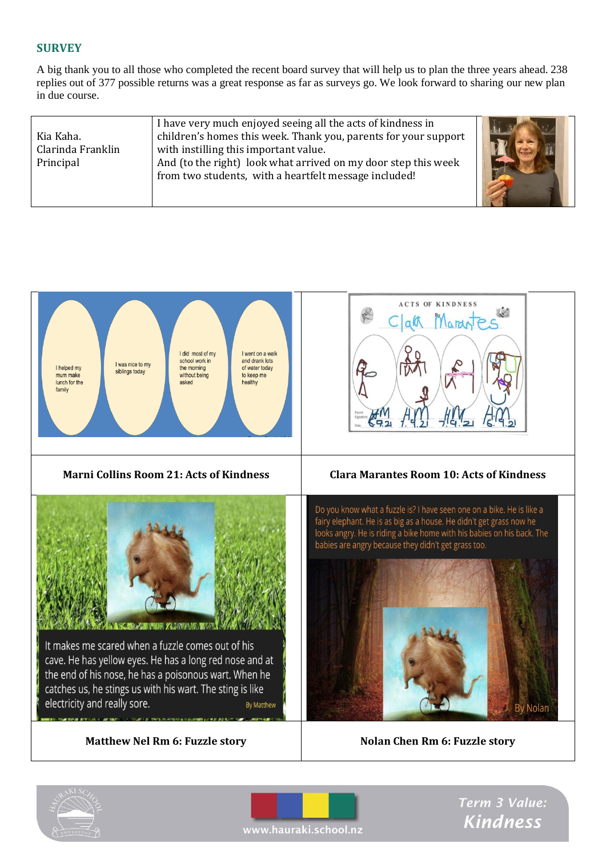## **SURVEY**

A big thank you to all those who completed the recent board survey that will help us to plan the three years ahead. 238 replies out of 377 possible returns was a great response as far as surveys go. We look forward to sharing our new plan in due course.

| Kia Kaha.<br>Clarinda Franklin<br>Principal | I have very much enjoyed seeing all the acts of kindness in<br>children's homes this week. Thank you, parents for your support<br>with instilling this important value.<br>And (to the right) look what arrived on my door step this week<br>from two students, with a heartfelt message included! |  |
|---------------------------------------------|----------------------------------------------------------------------------------------------------------------------------------------------------------------------------------------------------------------------------------------------------------------------------------------------------|--|
|---------------------------------------------|----------------------------------------------------------------------------------------------------------------------------------------------------------------------------------------------------------------------------------------------------------------------------------------------------|--|







Term 3 Value: Kindness